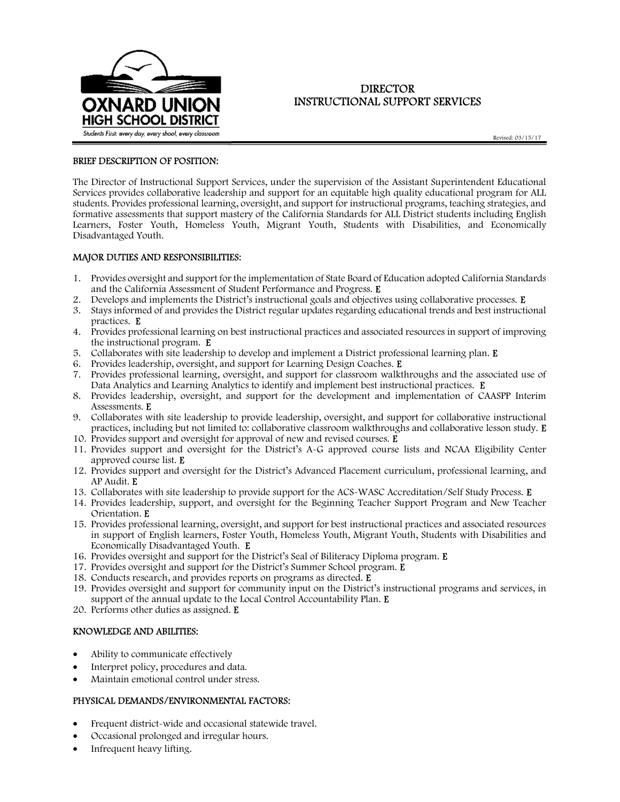

# DIRECTOR INSTRUCTIONAL SUPPORT SERVICES

Revised: 03/15/17

### BRIEF DESCRIPTION OF POSITION:

The Director of Instructional Support Services, under the supervision of the Assistant Superintendent Educational Services provides collaborative leadership and support for an equitable high quality educational program for ALL students. Provides professional learning, oversight, and support for instructional programs, teaching strategies, and formative assessments that support mastery of the California Standards for ALL District students including English Learners, Foster Youth, Homeless Youth, Migrant Youth, Students with Disabilities, and Economically Disadvantaged Youth.

#### MAJOR DUTIES AND RESPONSIBILITIES:

- 1. Provides oversight and support for the implementation of State Board of Education adopted California Standards and the California Assessment of Student Performance and Progress. E
- 2. Develops and implements the District's instructional goals and objectives using collaborative processes. E
- 3. Stays informed of and provides the District regular updates regarding educational trends and best instructional practices. E
- 4. Provides professional learning on best instructional practices and associated resources in support of improving the instructional program. E
- 5. Collaborates with site leadership to develop and implement a District professional learning plan. E
- 6. Provides leadership, oversight, and support for Learning Design Coaches. E
- 7. Provides professional learning, oversight, and support for classroom walkthroughs and the associated use of Data Analytics and Learning Analytics to identify and implement best instructional practices. **E**
- 8. Provides leadership, oversight, and support for the development and implementation of CAASPP Interim Assessments. E
- 9. Collaborates with site leadership to provide leadership, oversight, and support for collaborative instructional practices, including but not limited to: collaborative classroom walkthroughs and collaborative lesson study. E
- 10. Provides support and oversight for approval of new and revised courses.  $\tilde{E}$
- 11. Provides support and oversight for the District's A-G approved course lists and NCAA Eligibility Center approved course list. E
- 12. Provides support and oversight for the District's Advanced Placement curriculum, professional learning, and AP Audit. E
- 13. Collaborates with site leadership to provide support for the ACS-WASC Accreditation/Self Study Process. E
- 14. Provides leadership, support, and oversight for the Beginning Teacher Support Program and New Teacher Orientation. E
- 15. Provides professional learning, oversight, and support for best instructional practices and associated resources in support of English learners, Foster Youth, Homeless Youth, Migrant Youth, Students with Disabilities and Economically Disadvantaged Youth. E
- 16. Provides oversight and support for the District's Seal of Biliteracy Diploma program. E
- 17. Provides oversight and support for the District's Summer School program. E
- 18. Conducts research, and provides reports on programs as directed. E
- 19. Provides oversight and support for community input on the District's instructional programs and services, in support of the annual update to the Local Control Accountability Plan. E
- 20. Performs other duties as assigned. E

## KNOWLEDGE AND ABILITIES:

- Ability to communicate effectively
- Interpret policy, procedures and data.
- Maintain emotional control under stress.

## PHYSICAL DEMANDS/ENVIRONMENTAL FACTORS:

- Frequent district-wide and occasional statewide travel.
- Occasional prolonged and irregular hours.
- Infrequent heavy lifting.